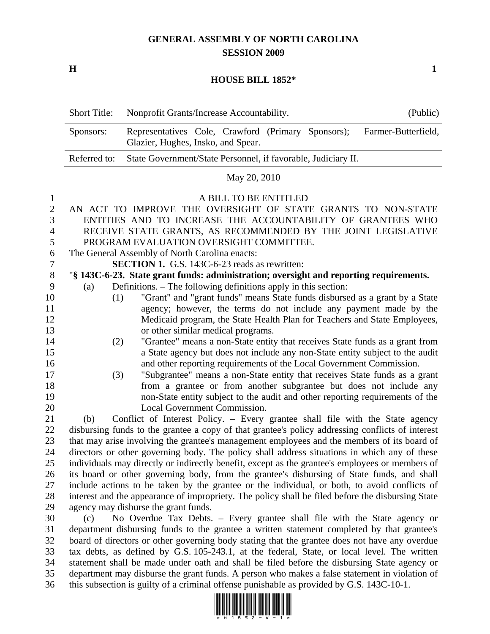# **GENERAL ASSEMBLY OF NORTH CAROLINA SESSION 2009**

**H** 1

### **HOUSE BILL 1852\***

| <b>Short Title:</b> | Nonprofit Grants/Increase Accountability.                                                | (Public)            |  |  |
|---------------------|------------------------------------------------------------------------------------------|---------------------|--|--|
| Sponsors:           | Representatives Cole, Crawford (Primary Sponsors);<br>Glazier, Hughes, Insko, and Spear. | Farmer-Butterfield, |  |  |
|                     | Referred to: State Government/State Personnel, if favorable, Judiciary II.               |                     |  |  |

### May 20, 2010

### 1 A BILL TO BE ENTITLED

| $\overline{2}$ |                                                                                                   | AN ACT TO IMPROVE THE OVERSIGHT OF STATE GRANTS TO NON-STATE                                     |  |  |  |
|----------------|---------------------------------------------------------------------------------------------------|--------------------------------------------------------------------------------------------------|--|--|--|
| 3              |                                                                                                   | ENTITIES AND TO INCREASE THE ACCOUNTABILITY OF GRANTEES WHO                                      |  |  |  |
|                |                                                                                                   |                                                                                                  |  |  |  |
| $\overline{4}$ |                                                                                                   | RECEIVE STATE GRANTS, AS RECOMMENDED BY THE JOINT LEGISLATIVE                                    |  |  |  |
| 5              |                                                                                                   | PROGRAM EVALUATION OVERSIGHT COMMITTEE.                                                          |  |  |  |
| 6              |                                                                                                   | The General Assembly of North Carolina enacts:                                                   |  |  |  |
| $\tau$         |                                                                                                   | <b>SECTION 1.</b> G.S. 143C-6-23 reads as rewritten:                                             |  |  |  |
| $8\,$          |                                                                                                   | "§ 143C-6-23. State grant funds: administration; oversight and reporting requirements.           |  |  |  |
| 9              | (a)                                                                                               | Definitions. – The following definitions apply in this section:                                  |  |  |  |
| 10             |                                                                                                   | "Grant" and "grant funds" means State funds disbursed as a grant by a State<br>(1)               |  |  |  |
| 11             |                                                                                                   | agency; however, the terms do not include any payment made by the                                |  |  |  |
| 12             |                                                                                                   | Medicaid program, the State Health Plan for Teachers and State Employees,                        |  |  |  |
| 13             |                                                                                                   | or other similar medical programs.                                                               |  |  |  |
| 14             |                                                                                                   | "Grantee" means a non-State entity that receives State funds as a grant from<br>(2)              |  |  |  |
| 15             |                                                                                                   | a State agency but does not include any non-State entity subject to the audit                    |  |  |  |
| 16             |                                                                                                   | and other reporting requirements of the Local Government Commission.                             |  |  |  |
| 17             |                                                                                                   | "Subgrantee" means a non-State entity that receives State funds as a grant<br>(3)                |  |  |  |
| 18             |                                                                                                   | from a grantee or from another subgrantee but does not include any                               |  |  |  |
| 19             |                                                                                                   | non-State entity subject to the audit and other reporting requirements of the                    |  |  |  |
| 20             |                                                                                                   | Local Government Commission.                                                                     |  |  |  |
| 21             | (b)                                                                                               | Conflict of Interest Policy. – Every grantee shall file with the State agency                    |  |  |  |
| 22             |                                                                                                   | disbursing funds to the grantee a copy of that grantee's policy addressing conflicts of interest |  |  |  |
| 23             |                                                                                                   | that may arise involving the grantee's management employees and the members of its board of      |  |  |  |
| 24             |                                                                                                   | directors or other governing body. The policy shall address situations in which any of these     |  |  |  |
| 25             | individuals may directly or indirectly benefit, except as the grantee's employees or members of   |                                                                                                  |  |  |  |
| 26             | its board or other governing body, from the grantee's disbursing of State funds, and shall        |                                                                                                  |  |  |  |
| 27             | include actions to be taken by the grantee or the individual, or both, to avoid conflicts of      |                                                                                                  |  |  |  |
| 28             | interest and the appearance of impropriety. The policy shall be filed before the disbursing State |                                                                                                  |  |  |  |
| 29             | agency may disburse the grant funds.                                                              |                                                                                                  |  |  |  |
|                |                                                                                                   |                                                                                                  |  |  |  |

30 (c) No Overdue Tax Debts. – Every grantee shall file with the State agency or 31 department disbursing funds to the grantee a written statement completed by that grantee's 32 board of directors or other governing body stating that the grantee does not have any overdue 33 tax debts, as defined by G.S. 105-243.1, at the federal, State, or local level. The written 34 statement shall be made under oath and shall be filed before the disbursing State agency or 35 department may disburse the grant funds. A person who makes a false statement in violation of 36 this subsection is guilty of a criminal offense punishable as provided by G.S. 143C-10-1.

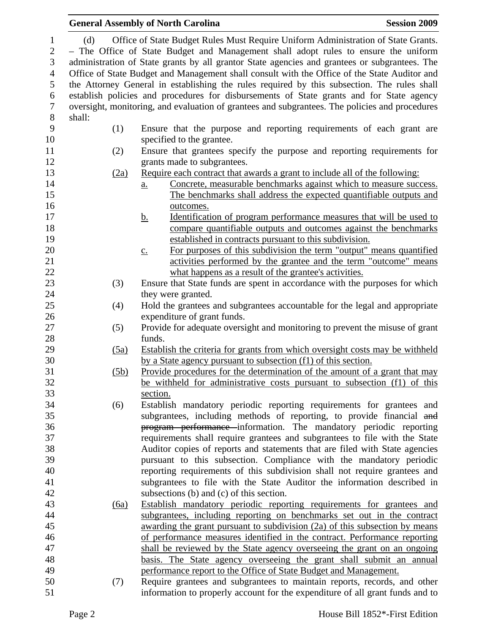|                                                                                                                                                                                                                                                                                  |                                                   | <b>Session 2009</b>                                                                                                                                                                                                                                                                                                                                                                                                                                                                                                                                                                                                                                                                                                                                                                                                                                                                                                                                                                                                                                                                                                                                                                                                                                                                                                                                                                                                                                                                                                                                                                                                                                                                                                                                                                                                                                                                                                                                                                                                                                                                                                                                                                                                                                                                                                                                                                                                                                                                                                                                                                                                                                                                                                                                                                                                                                                                                                                                                                                                                                                                                                                                                                                                               |  |  |
|----------------------------------------------------------------------------------------------------------------------------------------------------------------------------------------------------------------------------------------------------------------------------------|---------------------------------------------------|-----------------------------------------------------------------------------------------------------------------------------------------------------------------------------------------------------------------------------------------------------------------------------------------------------------------------------------------------------------------------------------------------------------------------------------------------------------------------------------------------------------------------------------------------------------------------------------------------------------------------------------------------------------------------------------------------------------------------------------------------------------------------------------------------------------------------------------------------------------------------------------------------------------------------------------------------------------------------------------------------------------------------------------------------------------------------------------------------------------------------------------------------------------------------------------------------------------------------------------------------------------------------------------------------------------------------------------------------------------------------------------------------------------------------------------------------------------------------------------------------------------------------------------------------------------------------------------------------------------------------------------------------------------------------------------------------------------------------------------------------------------------------------------------------------------------------------------------------------------------------------------------------------------------------------------------------------------------------------------------------------------------------------------------------------------------------------------------------------------------------------------------------------------------------------------------------------------------------------------------------------------------------------------------------------------------------------------------------------------------------------------------------------------------------------------------------------------------------------------------------------------------------------------------------------------------------------------------------------------------------------------------------------------------------------------------------------------------------------------------------------------------------------------------------------------------------------------------------------------------------------------------------------------------------------------------------------------------------------------------------------------------------------------------------------------------------------------------------------------------------------------------------------------------------------------------------------------------------------------|--|--|
| Office of State Budget Rules Must Require Uniform Administration of State Grants.<br>(d)<br>- The Office of State Budget and Management shall adopt rules to ensure the uniform<br>administration of State grants by all grantor State agencies and grantees or subgrantees. The |                                                   |                                                                                                                                                                                                                                                                                                                                                                                                                                                                                                                                                                                                                                                                                                                                                                                                                                                                                                                                                                                                                                                                                                                                                                                                                                                                                                                                                                                                                                                                                                                                                                                                                                                                                                                                                                                                                                                                                                                                                                                                                                                                                                                                                                                                                                                                                                                                                                                                                                                                                                                                                                                                                                                                                                                                                                                                                                                                                                                                                                                                                                                                                                                                                                                                                                   |  |  |
|                                                                                                                                                                                                                                                                                  |                                                   |                                                                                                                                                                                                                                                                                                                                                                                                                                                                                                                                                                                                                                                                                                                                                                                                                                                                                                                                                                                                                                                                                                                                                                                                                                                                                                                                                                                                                                                                                                                                                                                                                                                                                                                                                                                                                                                                                                                                                                                                                                                                                                                                                                                                                                                                                                                                                                                                                                                                                                                                                                                                                                                                                                                                                                                                                                                                                                                                                                                                                                                                                                                                                                                                                                   |  |  |
|                                                                                                                                                                                                                                                                                  |                                                   |                                                                                                                                                                                                                                                                                                                                                                                                                                                                                                                                                                                                                                                                                                                                                                                                                                                                                                                                                                                                                                                                                                                                                                                                                                                                                                                                                                                                                                                                                                                                                                                                                                                                                                                                                                                                                                                                                                                                                                                                                                                                                                                                                                                                                                                                                                                                                                                                                                                                                                                                                                                                                                                                                                                                                                                                                                                                                                                                                                                                                                                                                                                                                                                                                                   |  |  |
|                                                                                                                                                                                                                                                                                  |                                                   |                                                                                                                                                                                                                                                                                                                                                                                                                                                                                                                                                                                                                                                                                                                                                                                                                                                                                                                                                                                                                                                                                                                                                                                                                                                                                                                                                                                                                                                                                                                                                                                                                                                                                                                                                                                                                                                                                                                                                                                                                                                                                                                                                                                                                                                                                                                                                                                                                                                                                                                                                                                                                                                                                                                                                                                                                                                                                                                                                                                                                                                                                                                                                                                                                                   |  |  |
| shall:                                                                                                                                                                                                                                                                           |                                                   |                                                                                                                                                                                                                                                                                                                                                                                                                                                                                                                                                                                                                                                                                                                                                                                                                                                                                                                                                                                                                                                                                                                                                                                                                                                                                                                                                                                                                                                                                                                                                                                                                                                                                                                                                                                                                                                                                                                                                                                                                                                                                                                                                                                                                                                                                                                                                                                                                                                                                                                                                                                                                                                                                                                                                                                                                                                                                                                                                                                                                                                                                                                                                                                                                                   |  |  |
| (1)                                                                                                                                                                                                                                                                              |                                                   |                                                                                                                                                                                                                                                                                                                                                                                                                                                                                                                                                                                                                                                                                                                                                                                                                                                                                                                                                                                                                                                                                                                                                                                                                                                                                                                                                                                                                                                                                                                                                                                                                                                                                                                                                                                                                                                                                                                                                                                                                                                                                                                                                                                                                                                                                                                                                                                                                                                                                                                                                                                                                                                                                                                                                                                                                                                                                                                                                                                                                                                                                                                                                                                                                                   |  |  |
|                                                                                                                                                                                                                                                                                  | specified to the grantee.                         |                                                                                                                                                                                                                                                                                                                                                                                                                                                                                                                                                                                                                                                                                                                                                                                                                                                                                                                                                                                                                                                                                                                                                                                                                                                                                                                                                                                                                                                                                                                                                                                                                                                                                                                                                                                                                                                                                                                                                                                                                                                                                                                                                                                                                                                                                                                                                                                                                                                                                                                                                                                                                                                                                                                                                                                                                                                                                                                                                                                                                                                                                                                                                                                                                                   |  |  |
| (2)                                                                                                                                                                                                                                                                              |                                                   |                                                                                                                                                                                                                                                                                                                                                                                                                                                                                                                                                                                                                                                                                                                                                                                                                                                                                                                                                                                                                                                                                                                                                                                                                                                                                                                                                                                                                                                                                                                                                                                                                                                                                                                                                                                                                                                                                                                                                                                                                                                                                                                                                                                                                                                                                                                                                                                                                                                                                                                                                                                                                                                                                                                                                                                                                                                                                                                                                                                                                                                                                                                                                                                                                                   |  |  |
|                                                                                                                                                                                                                                                                                  | grants made to subgrantees.                       |                                                                                                                                                                                                                                                                                                                                                                                                                                                                                                                                                                                                                                                                                                                                                                                                                                                                                                                                                                                                                                                                                                                                                                                                                                                                                                                                                                                                                                                                                                                                                                                                                                                                                                                                                                                                                                                                                                                                                                                                                                                                                                                                                                                                                                                                                                                                                                                                                                                                                                                                                                                                                                                                                                                                                                                                                                                                                                                                                                                                                                                                                                                                                                                                                                   |  |  |
|                                                                                                                                                                                                                                                                                  |                                                   |                                                                                                                                                                                                                                                                                                                                                                                                                                                                                                                                                                                                                                                                                                                                                                                                                                                                                                                                                                                                                                                                                                                                                                                                                                                                                                                                                                                                                                                                                                                                                                                                                                                                                                                                                                                                                                                                                                                                                                                                                                                                                                                                                                                                                                                                                                                                                                                                                                                                                                                                                                                                                                                                                                                                                                                                                                                                                                                                                                                                                                                                                                                                                                                                                                   |  |  |
|                                                                                                                                                                                                                                                                                  | a.                                                |                                                                                                                                                                                                                                                                                                                                                                                                                                                                                                                                                                                                                                                                                                                                                                                                                                                                                                                                                                                                                                                                                                                                                                                                                                                                                                                                                                                                                                                                                                                                                                                                                                                                                                                                                                                                                                                                                                                                                                                                                                                                                                                                                                                                                                                                                                                                                                                                                                                                                                                                                                                                                                                                                                                                                                                                                                                                                                                                                                                                                                                                                                                                                                                                                                   |  |  |
|                                                                                                                                                                                                                                                                                  |                                                   |                                                                                                                                                                                                                                                                                                                                                                                                                                                                                                                                                                                                                                                                                                                                                                                                                                                                                                                                                                                                                                                                                                                                                                                                                                                                                                                                                                                                                                                                                                                                                                                                                                                                                                                                                                                                                                                                                                                                                                                                                                                                                                                                                                                                                                                                                                                                                                                                                                                                                                                                                                                                                                                                                                                                                                                                                                                                                                                                                                                                                                                                                                                                                                                                                                   |  |  |
|                                                                                                                                                                                                                                                                                  |                                                   |                                                                                                                                                                                                                                                                                                                                                                                                                                                                                                                                                                                                                                                                                                                                                                                                                                                                                                                                                                                                                                                                                                                                                                                                                                                                                                                                                                                                                                                                                                                                                                                                                                                                                                                                                                                                                                                                                                                                                                                                                                                                                                                                                                                                                                                                                                                                                                                                                                                                                                                                                                                                                                                                                                                                                                                                                                                                                                                                                                                                                                                                                                                                                                                                                                   |  |  |
|                                                                                                                                                                                                                                                                                  |                                                   |                                                                                                                                                                                                                                                                                                                                                                                                                                                                                                                                                                                                                                                                                                                                                                                                                                                                                                                                                                                                                                                                                                                                                                                                                                                                                                                                                                                                                                                                                                                                                                                                                                                                                                                                                                                                                                                                                                                                                                                                                                                                                                                                                                                                                                                                                                                                                                                                                                                                                                                                                                                                                                                                                                                                                                                                                                                                                                                                                                                                                                                                                                                                                                                                                                   |  |  |
|                                                                                                                                                                                                                                                                                  |                                                   |                                                                                                                                                                                                                                                                                                                                                                                                                                                                                                                                                                                                                                                                                                                                                                                                                                                                                                                                                                                                                                                                                                                                                                                                                                                                                                                                                                                                                                                                                                                                                                                                                                                                                                                                                                                                                                                                                                                                                                                                                                                                                                                                                                                                                                                                                                                                                                                                                                                                                                                                                                                                                                                                                                                                                                                                                                                                                                                                                                                                                                                                                                                                                                                                                                   |  |  |
|                                                                                                                                                                                                                                                                                  |                                                   |                                                                                                                                                                                                                                                                                                                                                                                                                                                                                                                                                                                                                                                                                                                                                                                                                                                                                                                                                                                                                                                                                                                                                                                                                                                                                                                                                                                                                                                                                                                                                                                                                                                                                                                                                                                                                                                                                                                                                                                                                                                                                                                                                                                                                                                                                                                                                                                                                                                                                                                                                                                                                                                                                                                                                                                                                                                                                                                                                                                                                                                                                                                                                                                                                                   |  |  |
|                                                                                                                                                                                                                                                                                  |                                                   |                                                                                                                                                                                                                                                                                                                                                                                                                                                                                                                                                                                                                                                                                                                                                                                                                                                                                                                                                                                                                                                                                                                                                                                                                                                                                                                                                                                                                                                                                                                                                                                                                                                                                                                                                                                                                                                                                                                                                                                                                                                                                                                                                                                                                                                                                                                                                                                                                                                                                                                                                                                                                                                                                                                                                                                                                                                                                                                                                                                                                                                                                                                                                                                                                                   |  |  |
|                                                                                                                                                                                                                                                                                  |                                                   |                                                                                                                                                                                                                                                                                                                                                                                                                                                                                                                                                                                                                                                                                                                                                                                                                                                                                                                                                                                                                                                                                                                                                                                                                                                                                                                                                                                                                                                                                                                                                                                                                                                                                                                                                                                                                                                                                                                                                                                                                                                                                                                                                                                                                                                                                                                                                                                                                                                                                                                                                                                                                                                                                                                                                                                                                                                                                                                                                                                                                                                                                                                                                                                                                                   |  |  |
| (3)                                                                                                                                                                                                                                                                              |                                                   |                                                                                                                                                                                                                                                                                                                                                                                                                                                                                                                                                                                                                                                                                                                                                                                                                                                                                                                                                                                                                                                                                                                                                                                                                                                                                                                                                                                                                                                                                                                                                                                                                                                                                                                                                                                                                                                                                                                                                                                                                                                                                                                                                                                                                                                                                                                                                                                                                                                                                                                                                                                                                                                                                                                                                                                                                                                                                                                                                                                                                                                                                                                                                                                                                                   |  |  |
|                                                                                                                                                                                                                                                                                  | they were granted.                                |                                                                                                                                                                                                                                                                                                                                                                                                                                                                                                                                                                                                                                                                                                                                                                                                                                                                                                                                                                                                                                                                                                                                                                                                                                                                                                                                                                                                                                                                                                                                                                                                                                                                                                                                                                                                                                                                                                                                                                                                                                                                                                                                                                                                                                                                                                                                                                                                                                                                                                                                                                                                                                                                                                                                                                                                                                                                                                                                                                                                                                                                                                                                                                                                                                   |  |  |
| (4)                                                                                                                                                                                                                                                                              |                                                   |                                                                                                                                                                                                                                                                                                                                                                                                                                                                                                                                                                                                                                                                                                                                                                                                                                                                                                                                                                                                                                                                                                                                                                                                                                                                                                                                                                                                                                                                                                                                                                                                                                                                                                                                                                                                                                                                                                                                                                                                                                                                                                                                                                                                                                                                                                                                                                                                                                                                                                                                                                                                                                                                                                                                                                                                                                                                                                                                                                                                                                                                                                                                                                                                                                   |  |  |
|                                                                                                                                                                                                                                                                                  | expenditure of grant funds.                       |                                                                                                                                                                                                                                                                                                                                                                                                                                                                                                                                                                                                                                                                                                                                                                                                                                                                                                                                                                                                                                                                                                                                                                                                                                                                                                                                                                                                                                                                                                                                                                                                                                                                                                                                                                                                                                                                                                                                                                                                                                                                                                                                                                                                                                                                                                                                                                                                                                                                                                                                                                                                                                                                                                                                                                                                                                                                                                                                                                                                                                                                                                                                                                                                                                   |  |  |
|                                                                                                                                                                                                                                                                                  |                                                   |                                                                                                                                                                                                                                                                                                                                                                                                                                                                                                                                                                                                                                                                                                                                                                                                                                                                                                                                                                                                                                                                                                                                                                                                                                                                                                                                                                                                                                                                                                                                                                                                                                                                                                                                                                                                                                                                                                                                                                                                                                                                                                                                                                                                                                                                                                                                                                                                                                                                                                                                                                                                                                                                                                                                                                                                                                                                                                                                                                                                                                                                                                                                                                                                                                   |  |  |
|                                                                                                                                                                                                                                                                                  |                                                   |                                                                                                                                                                                                                                                                                                                                                                                                                                                                                                                                                                                                                                                                                                                                                                                                                                                                                                                                                                                                                                                                                                                                                                                                                                                                                                                                                                                                                                                                                                                                                                                                                                                                                                                                                                                                                                                                                                                                                                                                                                                                                                                                                                                                                                                                                                                                                                                                                                                                                                                                                                                                                                                                                                                                                                                                                                                                                                                                                                                                                                                                                                                                                                                                                                   |  |  |
|                                                                                                                                                                                                                                                                                  |                                                   |                                                                                                                                                                                                                                                                                                                                                                                                                                                                                                                                                                                                                                                                                                                                                                                                                                                                                                                                                                                                                                                                                                                                                                                                                                                                                                                                                                                                                                                                                                                                                                                                                                                                                                                                                                                                                                                                                                                                                                                                                                                                                                                                                                                                                                                                                                                                                                                                                                                                                                                                                                                                                                                                                                                                                                                                                                                                                                                                                                                                                                                                                                                                                                                                                                   |  |  |
|                                                                                                                                                                                                                                                                                  |                                                   |                                                                                                                                                                                                                                                                                                                                                                                                                                                                                                                                                                                                                                                                                                                                                                                                                                                                                                                                                                                                                                                                                                                                                                                                                                                                                                                                                                                                                                                                                                                                                                                                                                                                                                                                                                                                                                                                                                                                                                                                                                                                                                                                                                                                                                                                                                                                                                                                                                                                                                                                                                                                                                                                                                                                                                                                                                                                                                                                                                                                                                                                                                                                                                                                                                   |  |  |
|                                                                                                                                                                                                                                                                                  |                                                   |                                                                                                                                                                                                                                                                                                                                                                                                                                                                                                                                                                                                                                                                                                                                                                                                                                                                                                                                                                                                                                                                                                                                                                                                                                                                                                                                                                                                                                                                                                                                                                                                                                                                                                                                                                                                                                                                                                                                                                                                                                                                                                                                                                                                                                                                                                                                                                                                                                                                                                                                                                                                                                                                                                                                                                                                                                                                                                                                                                                                                                                                                                                                                                                                                                   |  |  |
|                                                                                                                                                                                                                                                                                  |                                                   |                                                                                                                                                                                                                                                                                                                                                                                                                                                                                                                                                                                                                                                                                                                                                                                                                                                                                                                                                                                                                                                                                                                                                                                                                                                                                                                                                                                                                                                                                                                                                                                                                                                                                                                                                                                                                                                                                                                                                                                                                                                                                                                                                                                                                                                                                                                                                                                                                                                                                                                                                                                                                                                                                                                                                                                                                                                                                                                                                                                                                                                                                                                                                                                                                                   |  |  |
|                                                                                                                                                                                                                                                                                  |                                                   |                                                                                                                                                                                                                                                                                                                                                                                                                                                                                                                                                                                                                                                                                                                                                                                                                                                                                                                                                                                                                                                                                                                                                                                                                                                                                                                                                                                                                                                                                                                                                                                                                                                                                                                                                                                                                                                                                                                                                                                                                                                                                                                                                                                                                                                                                                                                                                                                                                                                                                                                                                                                                                                                                                                                                                                                                                                                                                                                                                                                                                                                                                                                                                                                                                   |  |  |
|                                                                                                                                                                                                                                                                                  |                                                   |                                                                                                                                                                                                                                                                                                                                                                                                                                                                                                                                                                                                                                                                                                                                                                                                                                                                                                                                                                                                                                                                                                                                                                                                                                                                                                                                                                                                                                                                                                                                                                                                                                                                                                                                                                                                                                                                                                                                                                                                                                                                                                                                                                                                                                                                                                                                                                                                                                                                                                                                                                                                                                                                                                                                                                                                                                                                                                                                                                                                                                                                                                                                                                                                                                   |  |  |
|                                                                                                                                                                                                                                                                                  |                                                   |                                                                                                                                                                                                                                                                                                                                                                                                                                                                                                                                                                                                                                                                                                                                                                                                                                                                                                                                                                                                                                                                                                                                                                                                                                                                                                                                                                                                                                                                                                                                                                                                                                                                                                                                                                                                                                                                                                                                                                                                                                                                                                                                                                                                                                                                                                                                                                                                                                                                                                                                                                                                                                                                                                                                                                                                                                                                                                                                                                                                                                                                                                                                                                                                                                   |  |  |
|                                                                                                                                                                                                                                                                                  |                                                   |                                                                                                                                                                                                                                                                                                                                                                                                                                                                                                                                                                                                                                                                                                                                                                                                                                                                                                                                                                                                                                                                                                                                                                                                                                                                                                                                                                                                                                                                                                                                                                                                                                                                                                                                                                                                                                                                                                                                                                                                                                                                                                                                                                                                                                                                                                                                                                                                                                                                                                                                                                                                                                                                                                                                                                                                                                                                                                                                                                                                                                                                                                                                                                                                                                   |  |  |
|                                                                                                                                                                                                                                                                                  |                                                   |                                                                                                                                                                                                                                                                                                                                                                                                                                                                                                                                                                                                                                                                                                                                                                                                                                                                                                                                                                                                                                                                                                                                                                                                                                                                                                                                                                                                                                                                                                                                                                                                                                                                                                                                                                                                                                                                                                                                                                                                                                                                                                                                                                                                                                                                                                                                                                                                                                                                                                                                                                                                                                                                                                                                                                                                                                                                                                                                                                                                                                                                                                                                                                                                                                   |  |  |
|                                                                                                                                                                                                                                                                                  |                                                   |                                                                                                                                                                                                                                                                                                                                                                                                                                                                                                                                                                                                                                                                                                                                                                                                                                                                                                                                                                                                                                                                                                                                                                                                                                                                                                                                                                                                                                                                                                                                                                                                                                                                                                                                                                                                                                                                                                                                                                                                                                                                                                                                                                                                                                                                                                                                                                                                                                                                                                                                                                                                                                                                                                                                                                                                                                                                                                                                                                                                                                                                                                                                                                                                                                   |  |  |
|                                                                                                                                                                                                                                                                                  |                                                   |                                                                                                                                                                                                                                                                                                                                                                                                                                                                                                                                                                                                                                                                                                                                                                                                                                                                                                                                                                                                                                                                                                                                                                                                                                                                                                                                                                                                                                                                                                                                                                                                                                                                                                                                                                                                                                                                                                                                                                                                                                                                                                                                                                                                                                                                                                                                                                                                                                                                                                                                                                                                                                                                                                                                                                                                                                                                                                                                                                                                                                                                                                                                                                                                                                   |  |  |
|                                                                                                                                                                                                                                                                                  |                                                   |                                                                                                                                                                                                                                                                                                                                                                                                                                                                                                                                                                                                                                                                                                                                                                                                                                                                                                                                                                                                                                                                                                                                                                                                                                                                                                                                                                                                                                                                                                                                                                                                                                                                                                                                                                                                                                                                                                                                                                                                                                                                                                                                                                                                                                                                                                                                                                                                                                                                                                                                                                                                                                                                                                                                                                                                                                                                                                                                                                                                                                                                                                                                                                                                                                   |  |  |
|                                                                                                                                                                                                                                                                                  |                                                   |                                                                                                                                                                                                                                                                                                                                                                                                                                                                                                                                                                                                                                                                                                                                                                                                                                                                                                                                                                                                                                                                                                                                                                                                                                                                                                                                                                                                                                                                                                                                                                                                                                                                                                                                                                                                                                                                                                                                                                                                                                                                                                                                                                                                                                                                                                                                                                                                                                                                                                                                                                                                                                                                                                                                                                                                                                                                                                                                                                                                                                                                                                                                                                                                                                   |  |  |
|                                                                                                                                                                                                                                                                                  |                                                   |                                                                                                                                                                                                                                                                                                                                                                                                                                                                                                                                                                                                                                                                                                                                                                                                                                                                                                                                                                                                                                                                                                                                                                                                                                                                                                                                                                                                                                                                                                                                                                                                                                                                                                                                                                                                                                                                                                                                                                                                                                                                                                                                                                                                                                                                                                                                                                                                                                                                                                                                                                                                                                                                                                                                                                                                                                                                                                                                                                                                                                                                                                                                                                                                                                   |  |  |
|                                                                                                                                                                                                                                                                                  |                                                   |                                                                                                                                                                                                                                                                                                                                                                                                                                                                                                                                                                                                                                                                                                                                                                                                                                                                                                                                                                                                                                                                                                                                                                                                                                                                                                                                                                                                                                                                                                                                                                                                                                                                                                                                                                                                                                                                                                                                                                                                                                                                                                                                                                                                                                                                                                                                                                                                                                                                                                                                                                                                                                                                                                                                                                                                                                                                                                                                                                                                                                                                                                                                                                                                                                   |  |  |
|                                                                                                                                                                                                                                                                                  |                                                   |                                                                                                                                                                                                                                                                                                                                                                                                                                                                                                                                                                                                                                                                                                                                                                                                                                                                                                                                                                                                                                                                                                                                                                                                                                                                                                                                                                                                                                                                                                                                                                                                                                                                                                                                                                                                                                                                                                                                                                                                                                                                                                                                                                                                                                                                                                                                                                                                                                                                                                                                                                                                                                                                                                                                                                                                                                                                                                                                                                                                                                                                                                                                                                                                                                   |  |  |
|                                                                                                                                                                                                                                                                                  |                                                   |                                                                                                                                                                                                                                                                                                                                                                                                                                                                                                                                                                                                                                                                                                                                                                                                                                                                                                                                                                                                                                                                                                                                                                                                                                                                                                                                                                                                                                                                                                                                                                                                                                                                                                                                                                                                                                                                                                                                                                                                                                                                                                                                                                                                                                                                                                                                                                                                                                                                                                                                                                                                                                                                                                                                                                                                                                                                                                                                                                                                                                                                                                                                                                                                                                   |  |  |
|                                                                                                                                                                                                                                                                                  |                                                   |                                                                                                                                                                                                                                                                                                                                                                                                                                                                                                                                                                                                                                                                                                                                                                                                                                                                                                                                                                                                                                                                                                                                                                                                                                                                                                                                                                                                                                                                                                                                                                                                                                                                                                                                                                                                                                                                                                                                                                                                                                                                                                                                                                                                                                                                                                                                                                                                                                                                                                                                                                                                                                                                                                                                                                                                                                                                                                                                                                                                                                                                                                                                                                                                                                   |  |  |
|                                                                                                                                                                                                                                                                                  |                                                   |                                                                                                                                                                                                                                                                                                                                                                                                                                                                                                                                                                                                                                                                                                                                                                                                                                                                                                                                                                                                                                                                                                                                                                                                                                                                                                                                                                                                                                                                                                                                                                                                                                                                                                                                                                                                                                                                                                                                                                                                                                                                                                                                                                                                                                                                                                                                                                                                                                                                                                                                                                                                                                                                                                                                                                                                                                                                                                                                                                                                                                                                                                                                                                                                                                   |  |  |
|                                                                                                                                                                                                                                                                                  |                                                   |                                                                                                                                                                                                                                                                                                                                                                                                                                                                                                                                                                                                                                                                                                                                                                                                                                                                                                                                                                                                                                                                                                                                                                                                                                                                                                                                                                                                                                                                                                                                                                                                                                                                                                                                                                                                                                                                                                                                                                                                                                                                                                                                                                                                                                                                                                                                                                                                                                                                                                                                                                                                                                                                                                                                                                                                                                                                                                                                                                                                                                                                                                                                                                                                                                   |  |  |
|                                                                                                                                                                                                                                                                                  |                                                   |                                                                                                                                                                                                                                                                                                                                                                                                                                                                                                                                                                                                                                                                                                                                                                                                                                                                                                                                                                                                                                                                                                                                                                                                                                                                                                                                                                                                                                                                                                                                                                                                                                                                                                                                                                                                                                                                                                                                                                                                                                                                                                                                                                                                                                                                                                                                                                                                                                                                                                                                                                                                                                                                                                                                                                                                                                                                                                                                                                                                                                                                                                                                                                                                                                   |  |  |
|                                                                                                                                                                                                                                                                                  | (2a)<br>(5)<br>(5a)<br>(5b)<br>(6)<br>(6a)<br>(7) | <b>General Assembly of North Carolina</b><br>Office of State Budget and Management shall consult with the Office of the State Auditor and<br>the Attorney General in establishing the rules required by this subsection. The rules shall<br>establish policies and procedures for disbursements of State grants and for State agency<br>oversight, monitoring, and evaluation of grantees and subgrantees. The policies and procedures<br>Ensure that the purpose and reporting requirements of each grant are<br>Ensure that grantees specify the purpose and reporting requirements for<br>Require each contract that awards a grant to include all of the following:<br>Concrete, measurable benchmarks against which to measure success.<br>The benchmarks shall address the expected quantifiable outputs and<br>outcomes.<br><u>b.</u><br><u>Identification of program performance measures that will be used to</u><br>compare quantifiable outputs and outcomes against the benchmarks<br>established in contracts pursuant to this subdivision.<br>For purposes of this subdivision the term "output" means quantified<br>$\underline{c}$ .<br>activities performed by the grantee and the term "outcome" means<br>what happens as a result of the grantee's activities.<br>Ensure that State funds are spent in accordance with the purposes for which<br>Hold the grantees and subgrantees accountable for the legal and appropriate<br>Provide for adequate oversight and monitoring to prevent the misuse of grant<br>funds.<br>Establish the criteria for grants from which oversight costs may be withheld<br>by a State agency pursuant to subsection (f1) of this section.<br>Provide procedures for the determination of the amount of a grant that may<br>be withheld for administrative costs pursuant to subsection (f1) of this<br>section.<br>Establish mandatory periodic reporting requirements for grantees and<br>subgrantees, including methods of reporting, to provide financial and<br>program performance information. The mandatory periodic reporting<br>requirements shall require grantees and subgrantees to file with the State<br>Auditor copies of reports and statements that are filed with State agencies<br>pursuant to this subsection. Compliance with the mandatory periodic<br>reporting requirements of this subdivision shall not require grantees and<br>subgrantees to file with the State Auditor the information described in<br>subsections (b) and (c) of this section.<br>Establish mandatory periodic reporting requirements for grantees and<br>subgrantees, including reporting on benchmarks set out in the contract<br>awarding the grant pursuant to subdivision (2a) of this subsection by means<br>of performance measures identified in the contract. Performance reporting<br>shall be reviewed by the State agency overseeing the grant on an ongoing<br>basis. The State agency overseeing the grant shall submit an annual<br>performance report to the Office of State Budget and Management.<br>Require grantees and subgrantees to maintain reports, records, and other<br>information to properly account for the expenditure of all grant funds and to |  |  |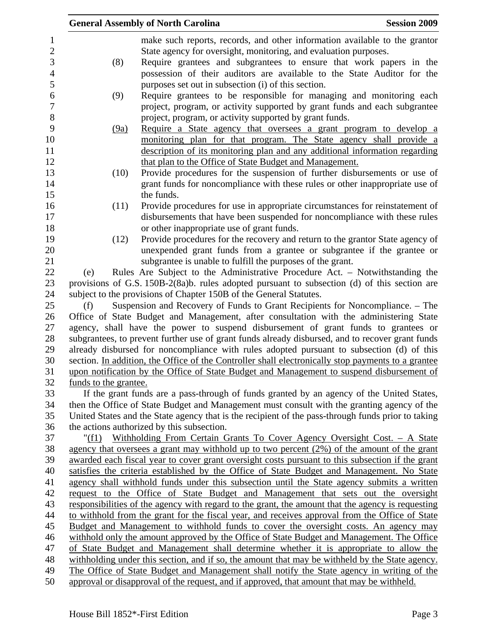|                                                                                       | <b>General Assembly of North Carolina</b><br><b>Session 2009</b>                                |                       |                                                                                                                                                                                |  |  |
|---------------------------------------------------------------------------------------|-------------------------------------------------------------------------------------------------|-----------------------|--------------------------------------------------------------------------------------------------------------------------------------------------------------------------------|--|--|
|                                                                                       |                                                                                                 |                       | make such reports, records, and other information available to the grantor<br>State agency for oversight, monitoring, and evaluation purposes.                                 |  |  |
|                                                                                       |                                                                                                 | (8)                   | Require grantees and subgrantees to ensure that work papers in the                                                                                                             |  |  |
|                                                                                       |                                                                                                 |                       | possession of their auditors are available to the State Auditor for the                                                                                                        |  |  |
|                                                                                       |                                                                                                 |                       | purposes set out in subsection (i) of this section.                                                                                                                            |  |  |
|                                                                                       |                                                                                                 | (9)                   | Require grantees to be responsible for managing and monitoring each                                                                                                            |  |  |
|                                                                                       |                                                                                                 |                       | project, program, or activity supported by grant funds and each subgrantee                                                                                                     |  |  |
|                                                                                       |                                                                                                 |                       | project, program, or activity supported by grant funds.                                                                                                                        |  |  |
|                                                                                       |                                                                                                 | (9a)                  | Require a State agency that oversees a grant program to develop a                                                                                                              |  |  |
|                                                                                       |                                                                                                 |                       | monitoring plan for that program. The State agency shall provide a                                                                                                             |  |  |
|                                                                                       |                                                                                                 |                       | description of its monitoring plan and any additional information regarding                                                                                                    |  |  |
|                                                                                       |                                                                                                 |                       | that plan to the Office of State Budget and Management.                                                                                                                        |  |  |
|                                                                                       |                                                                                                 | (10)                  | Provide procedures for the suspension of further disbursements or use of                                                                                                       |  |  |
|                                                                                       |                                                                                                 |                       | grant funds for noncompliance with these rules or other inappropriate use of                                                                                                   |  |  |
|                                                                                       |                                                                                                 |                       | the funds.                                                                                                                                                                     |  |  |
|                                                                                       |                                                                                                 | (11)                  | Provide procedures for use in appropriate circumstances for reinstatement of                                                                                                   |  |  |
|                                                                                       |                                                                                                 |                       | disbursements that have been suspended for noncompliance with these rules                                                                                                      |  |  |
|                                                                                       |                                                                                                 |                       | or other inappropriate use of grant funds.                                                                                                                                     |  |  |
|                                                                                       |                                                                                                 | (12)                  | Provide procedures for the recovery and return to the grantor State agency of                                                                                                  |  |  |
|                                                                                       |                                                                                                 |                       | unexpended grant funds from a grantee or subgrantee if the grantee or<br>subgrantee is unable to fulfill the purposes of the grant.                                            |  |  |
|                                                                                       | (e)                                                                                             |                       | Rules Are Subject to the Administrative Procedure Act. - Notwithstanding the                                                                                                   |  |  |
|                                                                                       |                                                                                                 |                       | provisions of G.S. 150B-2(8a)b. rules adopted pursuant to subsection (d) of this section are                                                                                   |  |  |
|                                                                                       |                                                                                                 |                       | subject to the provisions of Chapter 150B of the General Statutes.                                                                                                             |  |  |
|                                                                                       | (f)                                                                                             |                       | Suspension and Recovery of Funds to Grant Recipients for Noncompliance. – The                                                                                                  |  |  |
|                                                                                       |                                                                                                 |                       | Office of State Budget and Management, after consultation with the administering State                                                                                         |  |  |
|                                                                                       |                                                                                                 |                       | agency, shall have the power to suspend disbursement of grant funds to grantees or                                                                                             |  |  |
|                                                                                       |                                                                                                 |                       | subgrantees, to prevent further use of grant funds already disbursed, and to recover grant funds                                                                               |  |  |
|                                                                                       |                                                                                                 |                       | already disbursed for noncompliance with rules adopted pursuant to subsection (d) of this                                                                                      |  |  |
|                                                                                       |                                                                                                 |                       | section. In addition, the Office of the Controller shall electronically stop payments to a grantee                                                                             |  |  |
|                                                                                       |                                                                                                 |                       | upon notification by the Office of State Budget and Management to suspend disbursement of                                                                                      |  |  |
|                                                                                       |                                                                                                 | funds to the grantee. |                                                                                                                                                                                |  |  |
|                                                                                       |                                                                                                 |                       | If the grant funds are a pass-through of funds granted by an agency of the United States,                                                                                      |  |  |
|                                                                                       |                                                                                                 |                       | then the Office of State Budget and Management must consult with the granting agency of the                                                                                    |  |  |
|                                                                                       |                                                                                                 |                       | United States and the State agency that is the recipient of the pass-through funds prior to taking                                                                             |  |  |
|                                                                                       |                                                                                                 |                       | the actions authorized by this subsection.                                                                                                                                     |  |  |
|                                                                                       |                                                                                                 |                       | "(f1) Withholding From Certain Grants To Cover Agency Oversight Cost. - A State                                                                                                |  |  |
|                                                                                       |                                                                                                 |                       | agency that oversees a grant may withhold up to two percent (2%) of the amount of the grant                                                                                    |  |  |
|                                                                                       |                                                                                                 |                       | awarded each fiscal year to cover grant oversight costs pursuant to this subsection if the grant                                                                               |  |  |
|                                                                                       |                                                                                                 |                       | satisfies the criteria established by the Office of State Budget and Management. No State                                                                                      |  |  |
|                                                                                       |                                                                                                 |                       | agency shall withhold funds under this subsection until the State agency submits a written<br>request to the Office of State Budget and Management that sets out the oversight |  |  |
|                                                                                       |                                                                                                 |                       | responsibilities of the agency with regard to the grant, the amount that the agency is requesting                                                                              |  |  |
|                                                                                       |                                                                                                 |                       | to withhold from the grant for the fiscal year, and receives approval from the Office of State                                                                                 |  |  |
|                                                                                       |                                                                                                 |                       | Budget and Management to withhold funds to cover the oversight costs. An agency may                                                                                            |  |  |
|                                                                                       |                                                                                                 |                       | withhold only the amount approved by the Office of State Budget and Management. The Office                                                                                     |  |  |
| of State Budget and Management shall determine whether it is appropriate to allow the |                                                                                                 |                       |                                                                                                                                                                                |  |  |
|                                                                                       | withholding under this section, and if so, the amount that may be withheld by the State agency. |                       |                                                                                                                                                                                |  |  |
|                                                                                       | The Office of State Budget and Management shall notify the State agency in writing of the       |                       |                                                                                                                                                                                |  |  |
|                                                                                       |                                                                                                 |                       | approval or disapproval of the request, and if approved, that amount that may be withheld.                                                                                     |  |  |